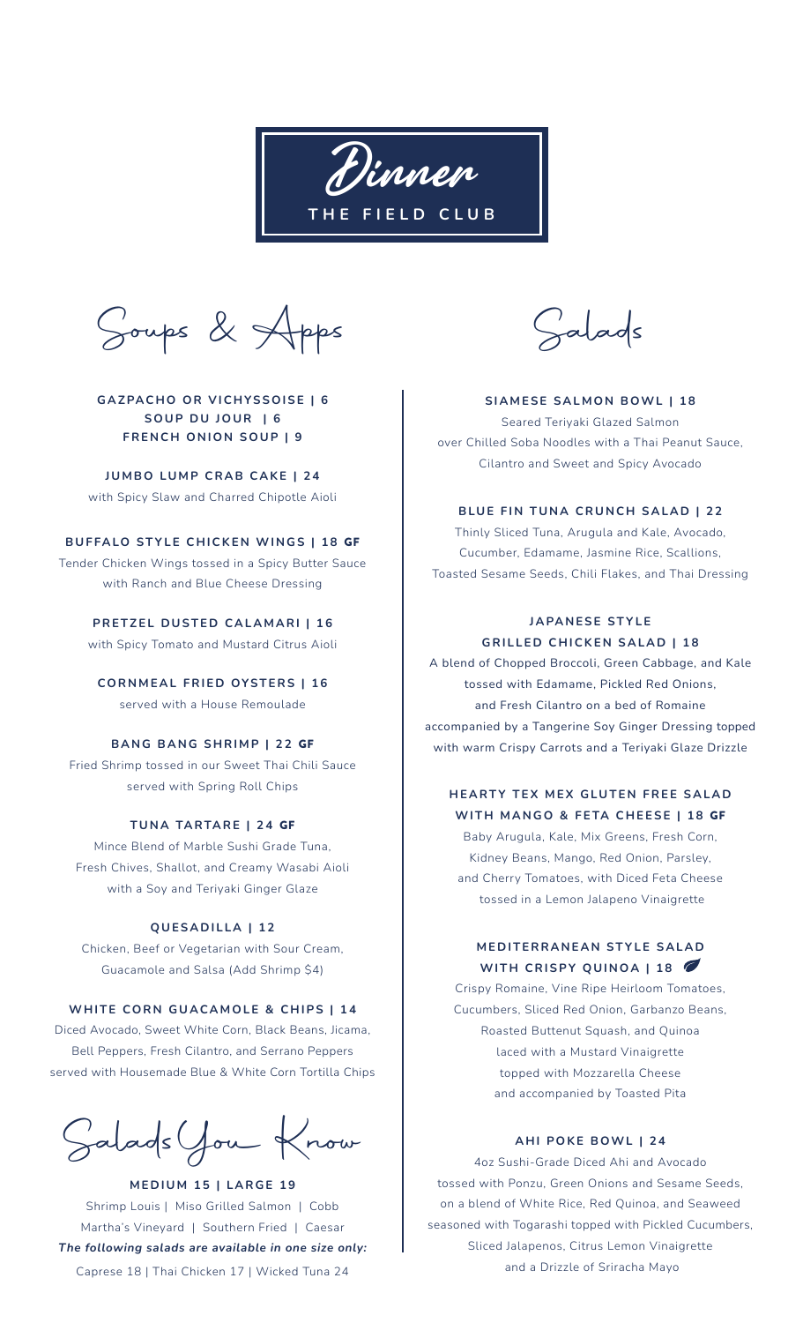Dinner **THE FIELD CLUB**

Soups & Apps

## **GAZPACHO OR VICHYSSOISE | 6 SOUP DU JOUR | 6 FRENCH ONION SOUP | 9**

**JUMBO LUMP CRAB CAKE | 24** with Spicy Slaw and Charred Chipotle Aioli

### **BUFFALO STYLE CHICKEN WINGS | 18** GF

Tender Chicken Wings tossed in a Spicy Butter Sauce with Ranch and Blue Cheese Dressing

**PRETZEL DUSTED CALAMARI | 16** with Spicy Tomato and Mustard Citrus Aioli

**CORNMEAL FRIED OYSTERS | 16** served with a House Remoulade

### **BANG BANG SHRIMP | 22** GF

Fried Shrimp tossed in our Sweet Thai Chili Sauce served with Spring Roll Chips

## **TUNA TARTARE | 24** GF

Mince Blend of Marble Sushi Grade Tuna, Fresh Chives, Shallot, and Creamy Wasabi Aioli with a Soy and Teriyaki Ginger Glaze

#### **QUESADILLA | 12**

Chicken, Beef or Vegetarian with Sour Cream, Guacamole and Salsa (Add Shrimp \$4)

#### **WHITE CORN GUACAMOLE & CHIPS | 14**

Diced Avocado, Sweet White Corn, Black Beans, Jicama, Bell Peppers, Fresh Cilantro, and Serrano Peppers served with Housemade Blue & White Corn Tortilla Chips

SaladsYou Know

**MEDIUM 15 | LARGE 19** Shrimp Louis | Miso Grilled Salmon | Cobb Martha's Vineyard | Southern Fried | Caesar *The following salads are available in one size only:*  Caprese 18 | Thai Chicken 17 | Wicked Tuna 24

Salads

#### **SIAMESE SALMON BOWL | 18**

Seared Teriyaki Glazed Salmon over Chilled Soba Noodles with a Thai Peanut Sauce, Cilantro and Sweet and Spicy Avocado

### **BLUE FIN TUNA CRUNCH SALAD | 22**

Thinly Sliced Tuna, Arugula and Kale, Avocado, Cucumber, Edamame, Jasmine Rice, Scallions, Toasted Sesame Seeds, Chili Flakes, and Thai Dressing

# **JAPANESE STYLE GRILLED CHICKEN SALAD | 18**

A blend of Chopped Broccoli, Green Cabbage, and Kale tossed with Edamame, Pickled Red Onions, and Fresh Cilantro on a bed of Romaine accompanied by a Tangerine Soy Ginger Dressing topped with warm Crispy Carrots and a Teriyaki Glaze Drizzle

# **HEARTY TEX MEX GLUTEN FREE SALAD WITH MANGO & FETA CHEESE | 18** GF

Baby Arugula, Kale, Mix Greens, Fresh Corn, Kidney Beans, Mango, Red Onion, Parsley, and Cherry Tomatoes, with Diced Feta Cheese tossed in a Lemon Jalapeno Vinaigrette

# **MEDITERRANEAN STYLE SALAD WITH CRISPY QUINOA | 18**

Crispy Romaine, Vine Ripe Heirloom Tomatoes, Cucumbers, Sliced Red Onion, Garbanzo Beans, Roasted Buttenut Squash, and Quinoa laced with a Mustard Vinaigrette topped with Mozzarella Cheese and accompanied by Toasted Pita

### **AHI POKE BOWL | 24**

4oz Sushi-Grade Diced Ahi and Avocado tossed with Ponzu, Green Onions and Sesame Seeds, on a blend of White Rice, Red Quinoa, and Seaweed seasoned with Togarashi topped with Pickled Cucumbers, Sliced Jalapenos, Citrus Lemon Vinaigrette and a Drizzle of Sriracha Mayo